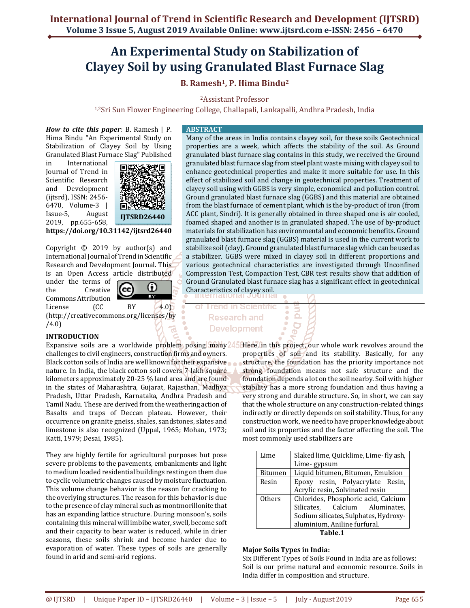# **An Experimental Study on Stabilization of Clayey Soil by using Granulated Blast Furnace Slag**

# **B. Ramesh1, P. Hima Bindu<sup>2</sup>**

<sup>2</sup>Assistant Professor

1,2Sri Sun Flower Engineering College, Challapali, Lankapalli, Andhra Pradesh, India

*How to cite this paper:* B. Ramesh | P. Hima Bindu "An Experimental Study on Stabilization of Clayey Soil by Using Granulated Blast Furnace Slag" Published

in International Journal of Trend in Scientific Research and Development (ijtsrd), ISSN: 2456- 6470, Volume-3 | Issue-5, August 2019, pp.655-658,



**https://doi.org/10.31142/ijtsrd26440**

Copyright © 2019 by author(s) and International Journal of Trend in Scientific Research and Development Journal. This is an Open Access article distributed

under the terms of the Creative Commons Attribution



License (CC BY 4.0) (http://creativecommons.org/licenses/by /4.0)

# **INTRODUCTION**

challenges to civil engineers, construction firms and owners. Black cotton soils of India are well known for their expansive nature. In India, the black cotton soil covers 7 lakh square kilometers approximately 20-25 % land area and are found in the states of Maharashtra, Gujarat, Rajasthan, Madhya Pradesh, Uttar Pradesh, Karnataka, Andhra Pradesh and Tamil Nadu. These are derived from the weathering action of Basalts and traps of Deccan plateau. However, their occurrence on granite gneiss, shales, sandstones, slates and limestone is also recognized (Uppal, 1965; Mohan, 1973; Katti, 1979; Desai, 1985).

They are highly fertile for agricultural purposes but pose severe problems to the pavements, embankments and light to medium loaded residential buildings resting on them due to cyclic volumetric changes caused by moisture fluctuation. This volume change behavior is the reason for cracking to the overlying structures. The reason for this behavior is due to the presence of clay mineral such as montmorillonite that has an expanding lattice structure. During monsoon's, soils containing this mineral will imbibe water, swell, become soft and their capacity to bear water is reduced, while in drier seasons, these soils shrink and become harder due to evaporation of water. These types of soils are generally found in arid and semi-arid regions.

# **ABSTRACT**

Many of the areas in India contains clayey soil, for these soils Geotechnical properties are a week, which affects the stability of the soil. As Ground granulated blast furnace slag contains in this study, we received the Ground granulated blast furnace slag from steel plant waste mixing with clayey soil to enhance geotechnical properties and make it more suitable for use. In this effect of stabilized soil and change in geotechnical properties. Treatment of clayey soil using with GGBS is very simple, economical and pollution control. Ground granulated blast furnace slag (GGBS) and this material are obtained from the blast furnace of cement plant, which is the by-product of iron (from ACC plant, Sindri). It is generally obtained in three shaped one is air cooled, foamed shaped and another is in granulated shaped. The use of by-product materials for stabilization has environmental and economic benefits. Ground granulated blast furnace slag (GGBS) material is used in the current work to stabilize soil (clay). Ground granulated blast furnace slag which can be used as a stabilizer. GGBS were mixed in clayey soil in different proportions and various geotechnical characteristics are investigated through Unconfined Compression Test, Compaction Test, CBR test results show that addition of Ground Granulated blast furnace slag has a significant effect in geotechnical Characteristics of clayey soil.

> $\Omega$ **D**

**Trend in Scientific Research and Development** 

Expansive soils are a worldwide problem posing many 45 Here, in this project, our whole work revolves around the properties of soil and its stability. Basically, for any structure, the foundation has the priority importance not strong foundation means not safe structure and the foundation depends a lot on the soil nearby. Soil with higher stability has a more strong foundation and thus having a very strong and durable structure. So, in short, we can say that the whole structure on any construction-related things indirectly or directly depends on soil stability. Thus, for any construction work, we need to have proper knowledge about soil and its properties and the factor affecting the soil. The most commonly used stabilizers are

| Lime          | Slaked lime, Quicklime, Lime-fly ash, |  |  |  |  |
|---------------|---------------------------------------|--|--|--|--|
|               | Lime-gypsum                           |  |  |  |  |
| Bitumen       | Liquid bitumen, Bitumen, Emulsion     |  |  |  |  |
| Resin         | Epoxy resin, Polyacrylate Resin,      |  |  |  |  |
|               | Acrylic resin, Solvinated resin       |  |  |  |  |
| <b>Others</b> | Chlorides, Phosphoric acid, Calcium   |  |  |  |  |
|               | Silicates, Calcium Aluminates,        |  |  |  |  |
|               | Sodium silicates, Sulphates, Hydroxy- |  |  |  |  |
|               | aluminium, Aniline furfural.          |  |  |  |  |
| Tablo 1       |                                       |  |  |  |  |

#### **Table.1**

# **Major Soils Types in India:**

Six Different Types of Soils Found in India are as follows: Soil is our prime natural and economic resource. Soils in India differ in composition and structure.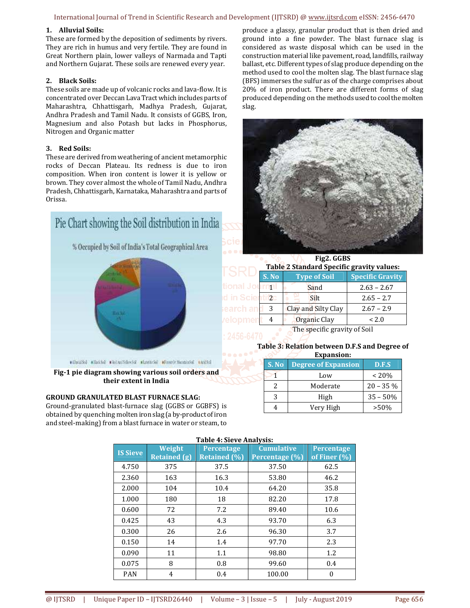### International Journal of Trend in Scientific Research and Development (IJTSRD) @ www.ijtsrd.com eISSN: 2456-6470

# **1. Alluvial Soils:**

These are formed by the deposition of sediments by rivers. They are rich in humus and very fertile. They are found in Great Northern plain, lower valleys of Narmada and Tapti and Northern Gujarat. These soils are renewed every year.

#### **2. Black Soils:**

These soils are made up of volcanic rocks and lava-flow. It is concentrated over Deccan Lava Tract which includes parts of Maharashtra, Chhattisgarh, Madhya Pradesh, Gujarat, Andhra Pradesh and Tamil Nadu. It consists of GGBS, Iron, Magnesium and also Potash but lacks in Phosphorus, Nitrogen and Organic matter

#### **3. Red Soils:**

These are derived from weathering of ancient metamorphic rocks of Deccan Plateau. Its redness is due to iron composition. When iron content is lower it is yellow or brown. They cover almost the whole of Tamil Nadu, Andhra Pradesh, Chhattisgarh, Karnataka, Maharashtra and parts of Orissa.



**Fig-1 pie diagram showing various soil orders and** 

**their extent in India**

# **GROUND GRANULATED BLAST FURNACE SLAG:**

Ground-granulated blast-furnace slag (GGBS or GGBFS) is obtained by quenching molten iron slag (a by-product of iron and steel-making) from a blast furnace in water or steam, to produce a glassy, granular product that is then dried and ground into a fine powder. The blast furnace slag is considered as waste disposal which can be used in the construction material like pavement, road, landfills, railway ballast, etc. Different types of slag produce depending on the method used to cool the molten slag. The blast furnace slag (BFS) immerses the sulfur as of the charge comprises about 20% of iron product. There are different forms of slag produced depending on the methods used to cool the molten slag.



|                                          | Fig2. GGBS<br>Table 2 Standard Specific gravity values: |                     |                         |  |  |
|------------------------------------------|---------------------------------------------------------|---------------------|-------------------------|--|--|
|                                          | S. No                                                   | <b>Type of Soil</b> | <b>Specific Gravity</b> |  |  |
| onal Journal                             |                                                         | Sand                | $2.63 - 2.67$           |  |  |
| in Scient                                | $t$ i 2                                                 | Silt                | $2.65 - 2.7$            |  |  |
| ≀arch anb                                | 3                                                       | Clay and Silty Clay | $2.67 - 2.9$            |  |  |
| elopmen                                  | 4                                                       | Organic Clay        | < 2.0                   |  |  |
| The specific gravity of Soil<br>-------- |                                                         |                     |                         |  |  |

#### **Table 3: Relation between D.F.S and Degree of Expansion:**

| елоанэюн. |                            |             |  |  |  |  |  |
|-----------|----------------------------|-------------|--|--|--|--|--|
| S. No.    | <b>Degree of Expansion</b> | D.F.S       |  |  |  |  |  |
|           | Low                        | $~120\%$    |  |  |  |  |  |
|           | Moderate                   | $20 - 35\%$ |  |  |  |  |  |
|           | High                       | $35 - 50%$  |  |  |  |  |  |
|           | Very High                  | $>50\%$     |  |  |  |  |  |

#### **Table 4: Sieve Analysis:**

| <b>IS Sieve</b> | Weight<br><b>Retained (g)</b> | <b>Percentage</b><br><b>Retained</b> (%) | <b>Cumulative</b><br>Percentage (%) | <b>Percentage</b><br>of Finer $(\%)$ |  |  |  |
|-----------------|-------------------------------|------------------------------------------|-------------------------------------|--------------------------------------|--|--|--|
| 4.750           | 375                           | 37.5                                     | 37.50                               | 62.5                                 |  |  |  |
| 2.360           | 163                           | 16.3                                     | 53.80                               | 46.2                                 |  |  |  |
| 2.000           | 104                           | 10.4                                     | 64.20                               | 35.8                                 |  |  |  |
| 1.000           | 180                           | 18                                       | 82.20                               | 17.8                                 |  |  |  |
| 0.600           | 72                            | 7.2                                      | 89.40                               | 10.6                                 |  |  |  |
| 0.425           | 43                            | 4.3                                      | 93.70                               | 6.3                                  |  |  |  |
| 0.300           | 26                            | 2.6                                      | 96.30                               | 3.7                                  |  |  |  |
| 0.150           | 14                            | 1.4                                      | 97.70                               | 2.3                                  |  |  |  |
| 0.090           | 11                            | 1.1                                      | 98.80                               | 1.2                                  |  |  |  |
| 0.075           | 8                             | 0.8                                      | 99.60                               | 0.4                                  |  |  |  |
| <b>PAN</b>      | 4                             | 0.4                                      | 100.00                              | $\boldsymbol{0}$                     |  |  |  |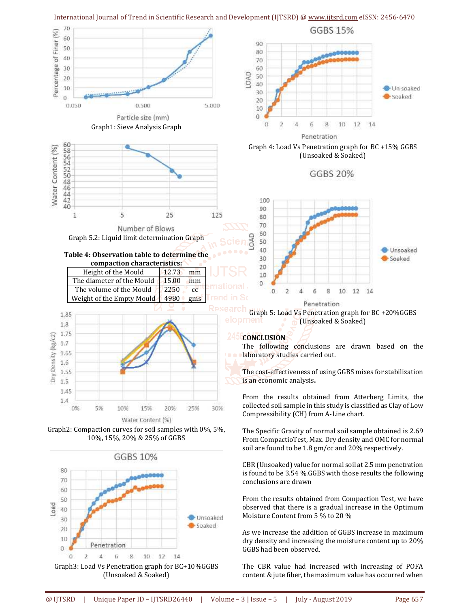

Graph3: Load Vs Penetration graph for BC+10%GGBS (Unsoaked & Soaked)

The CBR value had increased with increasing of POFA content & jute fiber, the maximum value has occurred when